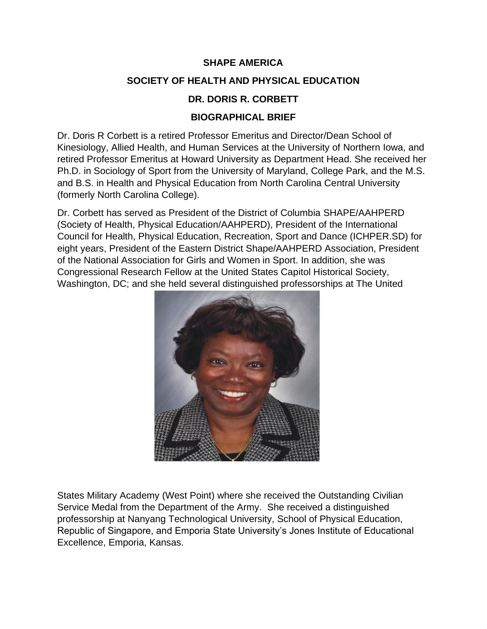#### **SHAPE AMERICA**

#### **SOCIETY OF HEALTH AND PHYSICAL EDUCATION**

#### **DR. DORIS R. CORBETT**

#### **BIOGRAPHICAL BRIEF**

Dr. Doris R Corbett is a retired Professor Emeritus and Director/Dean School of Kinesiology, Allied Health, and Human Services at the University of Northern Iowa, and retired Professor Emeritus at Howard University as Department Head. She received her Ph.D. in Sociology of Sport from the University of Maryland, College Park, and the M.S. and B.S. in Health and Physical Education from North Carolina Central University (formerly North Carolina College).

Dr. Corbett has served as President of the District of Columbia SHAPE/AAHPERD (Society of Health, Physical Education/AAHPERD), President of the International Council for Health, Physical Education, Recreation, Sport and Dance (ICHPER.SD) for eight years, President of the Eastern District Shape/AAHPERD Association, President of the National Association for Girls and Women in Sport. In addition, she was Congressional Research Fellow at the United States Capitol Historical Society, Washington, DC; and she held several distinguished professorships at The United



States Military Academy (West Point) where she received the Outstanding Civilian Service Medal from the Department of the Army. She received a distinguished professorship at Nanyang Technological University, School of Physical Education, Republic of Singapore, and Emporia State University's Jones Institute of Educational Excellence, Emporia, Kansas.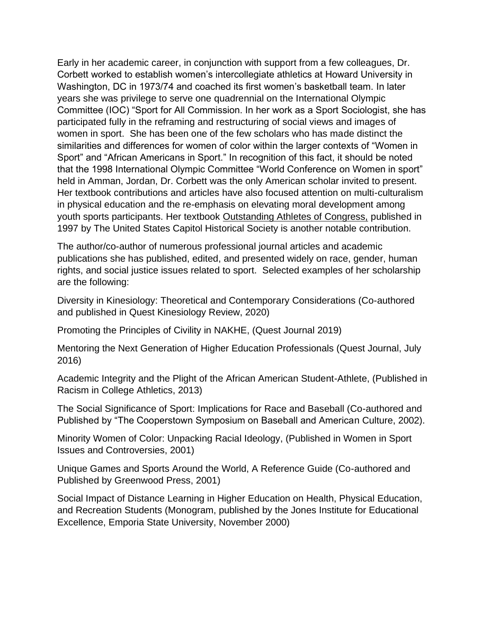Early in her academic career, in conjunction with support from a few colleagues, Dr. Corbett worked to establish women's intercollegiate athletics at Howard University in Washington, DC in 1973/74 and coached its first women's basketball team. In later years she was privilege to serve one quadrennial on the International Olympic Committee (IOC) "Sport for All Commission. In her work as a Sport Sociologist, she has participated fully in the reframing and restructuring of social views and images of women in sport. She has been one of the few scholars who has made distinct the similarities and differences for women of color within the larger contexts of "Women in Sport" and "African Americans in Sport." In recognition of this fact, it should be noted that the 1998 International Olympic Committee "World Conference on Women in sport" held in Amman, Jordan, Dr. Corbett was the only American scholar invited to present. Her textbook contributions and articles have also focused attention on multi-culturalism in physical education and the re-emphasis on elevating moral development among youth sports participants. Her textbook Outstanding Athletes of Congress, published in 1997 by The United States Capitol Historical Society is another notable contribution.

The author/co-author of numerous professional journal articles and academic publications she has published, edited, and presented widely on race, gender, human rights, and social justice issues related to sport. Selected examples of her scholarship are the following:

Diversity in Kinesiology: Theoretical and Contemporary Considerations (Co-authored and published in Quest Kinesiology Review, 2020)

Promoting the Principles of Civility in NAKHE, (Quest Journal 2019)

Mentoring the Next Generation of Higher Education Professionals (Quest Journal, July 2016)

Academic Integrity and the Plight of the African American Student-Athlete, (Published in Racism in College Athletics, 2013)

The Social Significance of Sport: Implications for Race and Baseball (Co-authored and Published by "The Cooperstown Symposium on Baseball and American Culture, 2002).

Minority Women of Color: Unpacking Racial Ideology, (Published in Women in Sport Issues and Controversies, 2001)

Unique Games and Sports Around the World, A Reference Guide (Co-authored and Published by Greenwood Press, 2001)

Social Impact of Distance Learning in Higher Education on Health, Physical Education, and Recreation Students (Monogram, published by the Jones Institute for Educational Excellence, Emporia State University, November 2000)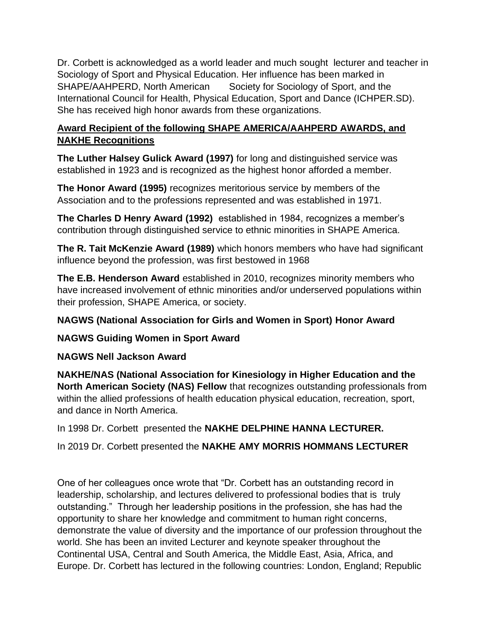Dr. Corbett is acknowledged as a world leader and much sought lecturer and teacher in Sociology of Sport and Physical Education. Her influence has been marked in SHAPE/AAHPERD, North American Society for Sociology of Sport, and the International Council for Health, Physical Education, Sport and Dance (ICHPER.SD). She has received high honor awards from these organizations.

# **Award Recipient of the following SHAPE AMERICA/AAHPERD AWARDS, and NAKHE Recognitions**

**The Luther Halsey Gulick Award (1997)** for long and distinguished service was established in 1923 and is recognized as the highest honor afforded a member.

**The Honor Award (1995)** recognizes meritorious service by members of the Association and to the professions represented and was established in 1971.

**The Charles D Henry Award (1992)** established in 1984, recognizes a member's contribution through distinguished service to ethnic minorities in SHAPE America.

**The R. Tait McKenzie Award (1989)** which honors members who have had significant influence beyond the profession, was first bestowed in 1968

**The E.B. Henderson Award** established in 2010, recognizes minority members who have increased involvement of ethnic minorities and/or underserved populations within their profession, SHAPE America, or society.

# **NAGWS (National Association for Girls and Women in Sport) Honor Award**

# **NAGWS Guiding Women in Sport Award**

# **NAGWS Nell Jackson Award**

**NAKHE/NAS (National Association for Kinesiology in Higher Education and the North American Society (NAS) Fellow** that recognizes outstanding professionals from within the allied professions of health education physical education, recreation, sport, and dance in North America.

In 1998 Dr. Corbett presented the **NAKHE DELPHINE HANNA LECTURER.**

In 2019 Dr. Corbett presented the **NAKHE AMY MORRIS HOMMANS LECTURER**

One of her colleagues once wrote that "Dr. Corbett has an outstanding record in leadership, scholarship, and lectures delivered to professional bodies that is truly outstanding." Through her leadership positions in the profession, she has had the opportunity to share her knowledge and commitment to human right concerns, demonstrate the value of diversity and the importance of our profession throughout the world. She has been an invited Lecturer and keynote speaker throughout the Continental USA, Central and South America, the Middle East, Asia, Africa, and Europe. Dr. Corbett has lectured in the following countries: London, England; Republic